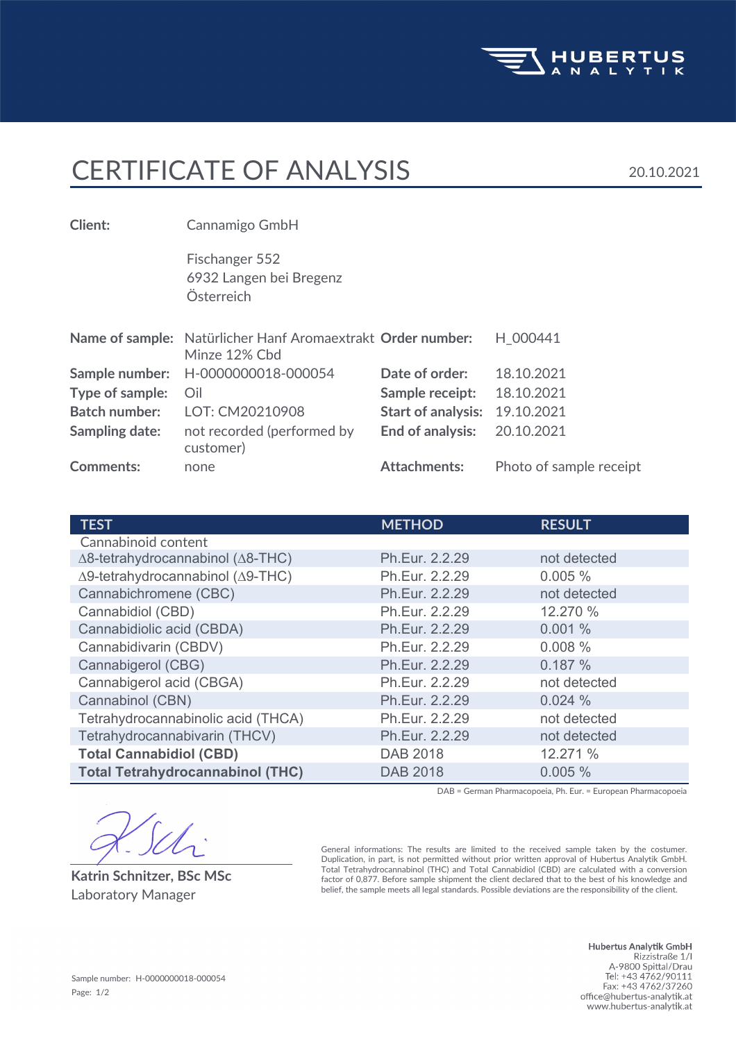

## CERTIFICATE OF ANALYSIS 20.10.2021

| Client:               | Cannamigo GmbH                                                               |                           |                         |
|-----------------------|------------------------------------------------------------------------------|---------------------------|-------------------------|
|                       | Fischanger 552<br>6932 Langen bei Bregenz<br>Österreich                      |                           |                         |
|                       | Name of sample: Natürlicher Hanf Aromaextrakt Order number:<br>Minze 12% Cbd |                           | H 000441                |
| Sample number:        | H-0000000018-000054                                                          | Date of order:            | 18.10.2021              |
| Type of sample:       | Oil                                                                          | Sample receipt:           | 18.10.2021              |
| <b>Batch number:</b>  | LOT: CM20210908                                                              | <b>Start of analysis:</b> | 19.10.2021              |
| <b>Sampling date:</b> | not recorded (performed by<br>customer)                                      | <b>End of analysis:</b>   | 20.10.2021              |
| <b>Comments:</b>      | none                                                                         | <b>Attachments:</b>       | Photo of sample receipt |

| <b>TEST</b>                                       | <b>METHOD</b>   | <b>RESULT</b> |
|---------------------------------------------------|-----------------|---------------|
| Cannabinoid content                               |                 |               |
| $\Delta$ 8-tetrahydrocannabinol ( $\Delta$ 8-THC) | Ph.Eur. 2.2.29  | not detected  |
| Δ9-tetrahydrocannabinol (Δ9-THC)                  | Ph.Eur. 2.2.29  | 0.005%        |
| Cannabichromene (CBC)                             | Ph.Eur. 2.2.29  | not detected  |
| Cannabidiol (CBD)                                 | Ph.Eur. 2.2.29  | 12.270 %      |
| Cannabidiolic acid (CBDA)                         | Ph.Eur. 2.2.29  | 0.001%        |
| Cannabidivarin (CBDV)                             | Ph.Eur. 2.2.29  | 0.008%        |
| Cannabigerol (CBG)                                | Ph.Eur. 2.2.29  | 0.187%        |
| Cannabigerol acid (CBGA)                          | Ph.Eur. 2.2.29  | not detected  |
| Cannabinol (CBN)                                  | Ph.Eur. 2.2.29  | 0.024%        |
| Tetrahydrocannabinolic acid (THCA)                | Ph.Eur. 2.2.29  | not detected  |
| Tetrahydrocannabivarin (THCV)                     | Ph.Eur. 2.2.29  | not detected  |
| <b>Total Cannabidiol (CBD)</b>                    | DAB 2018        | 12.271 %      |
| <b>Total Tetrahydrocannabinol (THC)</b>           | <b>DAB 2018</b> | 0.005%        |

DAB = German Pharmacopoeia, Ph. Eur. = European Pharmacopoeia

 $\mathscr{U}$ 

**Katrin Schnitzer, BSc MSc**

General informations: The results are limited to the received sample taken by the costumer. Duplication, in part, is not permitted without prior written approval of Hubertus Analytik GmbH. Total Tetrahydrocannabinol (THC) and Total Cannabidiol (CBD) are calculated with a conversion factor of 0,877. Before sample shipment the client declared that to the best of his knowledge and belief, the sample meets all legal standards. Possible deviations are the responsibility of the client. Laboratory Manager